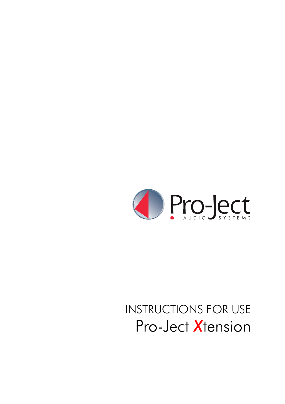

# INSTRUCTIONS FOR USE Pro-Ject *X*tension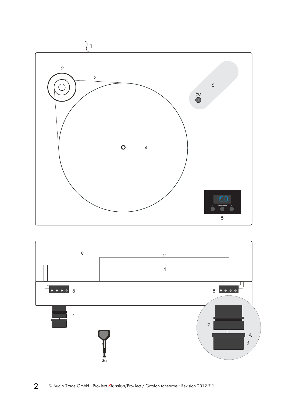

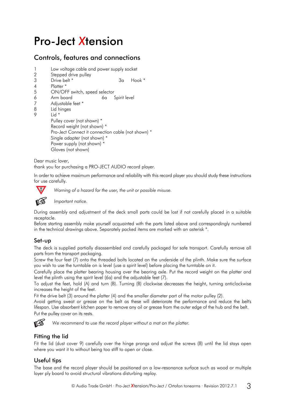# Pro-Ject *X*tension

# Controls, features and connections

- 1 Low voltage cable and power supply socket
- 2 Stepped drive pulley
- 3 Drive belt \* 3a Hook \*
- 4 Platter \*
- 5 ON/OFF switch, speed selector
- 6 Arm board 6a Spirit level
- 7 Adjustable feet \*
- 8 Lid hinges
- $9$  Lid  $*$

 Pulley cover (not shown) \* Record weight (not shown) \* Pro-Ject Connect it connection cable (not shown) \* Single adapter (not shown) \* Power supply (not shown) \* Gloves (not shown)

Dear music lover,

thank you for purchasing a PRO-JECT AUDIO record player.

In order to achieve maximum performance and reliability with this record player you should study these instructions for use carefully.



**!** *Warning of a hazard for the user, the unit or possible misuse.* 

*Important notice.* 

During assembly and adjustment of the deck small parts could be lost if not carefully placed in a suitable receptacle.

Before starting assembly make yourself acquainted with the parts listed above and correspondingly numbered in the technical drawings above. Separately packed items are marked with an asterisk \*.

#### Set-up

The deck is supplied partially disassembled and carefully packaged for safe transport. Carefully remove all parts from the transport packaging.

Screw the four feet (7) onto the threaded bolts located on the underside of the plinth. Make sure the surface you wish to use the turntable on is level (use a spirit level) before placing the turntable on it.

Carefully place the platter bearing housing over the bearing axle. Put the record weight on the platter and level the plinth using the spirit level (6a) and the adjustable feet (7).

To adjust the feet, hold (A) and turn (B). Turning (B) clockwise decreases the height, turning anticlockwise increases the height of the feet.

Fit the drive belt (3) around the platter (4) and the smaller diameter part of the motor pulley (2).

Avoid getting sweat or grease on the belt as these will deteriorate the performance and reduce the belt's lifespan. Use absorbent kitchen paper to remove any oil or grease from the outer edge of the hub and the belt. Put the pulley cover on its rests.



We recommend to use the record player without a mat on the platter.

# Fitting the lid

Fit the lid (dust cover 9) carefully over the hinge prongs and adjust the screws (8) until the lid stays open where you want it to without being too stiff to open or close.

#### Useful tips

The base and the record player should be positioned on a low-resonance surface such as wood or multiple layer ply board to avoid structural vibrations disturbing replay.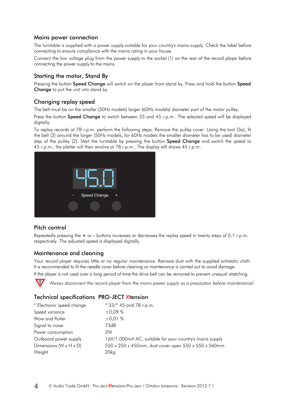#### Mains power connection

The turntable is supplied with a power supply suitable for your country's mains supply. Check the label before connecting to ensure compliance with the mains rating in your house.

Connect the low voltage plug from the power supply to the socket (1) on the rear of the record player before connecting the power supply to the mains.

#### Starting the motor, Stand By

Pressing the button Speed Change will switch on the player from stand by. Press and hold the button Speed Change to put the unit into stand by.

#### Changing replay speed

The belt must be on the smaller (50Hz models) larger (60Hz models) diameter part of the motor pulley.

Press the button **Speed Change** to switch between 33 and 45 r.p.m.. The selected speed will be displayed digitally.

To replay records at 78 r.p.m. perform the following steps: Remove the pulley cover. Using the tool (3a), fit the belt (3) around the larger (50Hz models, for 60Hz models the smaller diameter has to be used) diameter step of the pulley (2). Start the turntable by pressing the button **Speed Change** and switch the speed to 45 r.p.m., the platter will then revolve at 78 r.p.m.. The display still shows 45 r.p.m..



#### Pitch control

Repeatedly pressing the + or - buttons increases or decreases the replay speed in twenty steps of 0,1 r.p.m. respectively. The adjusted speed is displayed digitally.

#### Maintenance and cleaning

Your record player requires little or no reqular maintenance. Remove dust with the supplied antistatic cloth. It is recommended to fit the needle cover before cleaning or maintenance is carried out to avoid damage.

If the player is not used over a long period of time the drive belt can be removed to prevent unequal stretching.



**!** *Always disconnect the record player from the mains power supply as a precaution before maintenance!*

#### Technical specifications PRO-JECT *X*tension

| * Electronic speed change            | * 33/* 45 and 78 r.p.m.                                  |
|--------------------------------------|----------------------------------------------------------|
| Speed variance                       | ±0,09%                                                   |
| Wow and flutter                      | ±0,01%                                                   |
| Signal to noise                      | 73dB                                                     |
| Power consumption                    | 2W                                                       |
| Outboard power supply                | 16V/1.000mA AC, suitable for your country's mains supply |
| Dimensions ( $W \times H \times D$ ) | 550 x 250 x 450mm, dust cover open 550 x 550 x 560mm     |
| Weight                               | 20 <sub>kg</sub>                                         |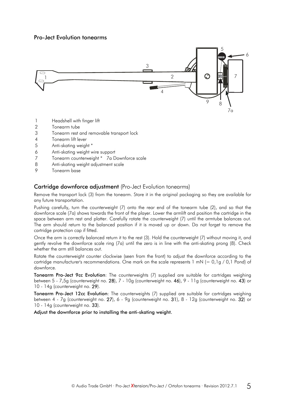#### Pro-Ject Evolution tonearms



- 1 Headshell with finger lift
- 2 Tonearm tube
- 3 Tonearm rest and removable transport lock
- 4 Tonearm lift lever
- 5 Anti-skating weight \*
- 6 Anti-skating weight wire support
- 7 Tonearm counterweight \* 7a Downforce scale
- 8 Anti-skating weight adjustment scale
- 9 Tonearm base

#### Cartridge downforce adjustment (Pro-Ject Evolution tonearms)

Remove the transport lock (3) from the tonearm. Store it in the original packaging so they are available for any future transportation.

Pushing carefully, turn the counterweight (7) onto the rear end of the tonearm tube (2), and so that the downforce scale (7a) shows towards the front of the player. Lower the armlift and position the cartridge in the space between arm rest and platter. Carefully rotate the counterweight (7) until the armtube balances out. The arm should return to the balanced position if it is moved up or down. Do not forget to remove the cartridge protection cap if fitted.

Once the arm is correctly balanced return it to the rest (3). Hold the counterweight (7) without moving it, and gently revolve the downforce scale ring (7a) until the zero is in line with the anti-skating prong (8). Check whether the arm still balances out.

Rotate the counterweight counter clockwise (seen from the front) to adjust the downforce according to the cartridge manufacturer's recommendations. One mark on the scale represents  $1 \text{ mN} (= 0.1g/0.1 \text{ Pond})$  of downforce.

Tonearm Pro-Ject 9cc Evolution: The counterweights (7) supplied are suitable for cartridges weighing between 5 - 7,5g (counterweight no. 28), 7 - 10g (counterweight no. 46), 9 - 11g (counterweight no. 43) or 10 - 14g (counterweight no. 29).

Tonearm Pro-Ject 12cc Evolution: The counterweights (7) supplied are suitable for cartridges weighing between 4 - 7g (counterweight no. 27), 6 - 9g (counterweight no. 31), 8 - 12g (counterweight no. 32) or 10 - 14g (counterweight no. 33).

Adjust the downforce prior to installing the anti-skating weight.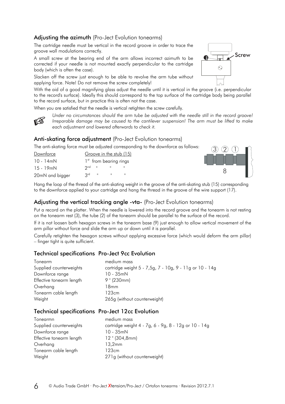# Adjusting the azimuth (Pro-Ject Evolution tonearms)

The cartridge needle must be vertical in the record groove in order to trace the groove wall modulations correctly.

A small screw at the bearing end of the arm allows incorrect azimuth to be corrected if your needle is not mounted exactly perpendicular to the cartridge body (which is often the case).

Slacken off the screw just enough to be able to revolve the arm tube without applying force. Note! Do not remove the screw completely!

With the aid of a good magnifying glass adjust the needle until it is vertical in the groove (i.e. perpendicular to the record's surface). Ideally this should correspond to the top surface of the cartridge body being parallel to the record surface, but in practice this is often not the case.

When you are satisfied that the needle is vertical retighten the screw carefully.

*Under no circumstances should the arm tube be adjusted with the needle still in the record groove! Irreparable damage may be caused to the cantilever suspension! The arm must be lifted to make each adjustment and lowered afterwards to check it.* 

# Anti-skating force adjustment (Pro-Ject Evolution tonearms)

The anti-skating force must be adjusted corresponding to the downforce as follows:

| Downforce       | Groove in the stub (15)            |
|-----------------|------------------------------------|
| $10 - 14$ mN    | 1 <sup>st</sup> from bearing rings |
| $15 - 19$ mN    | $2^{\text{nd}}$ "                  |
| 20mN and bigger | $2^{rd}$ $\blacksquare$<br>Ш       |



**Screw** 

Hang the loop of the thread of the anti-skating weight in the groove of the anti-skating stub (15) corresponding to the downforce applied to your cartridge and hang the thread in the groove of the wire support (17).

#### Adjusting the vertical tracking angle -vta- (Pro-Ject Evolution tonearms)

Put a record on the platter. When the needle is lowered into the record groove and the tonearm is not resting on the tonearm rest (3), the tube (2) of the tonearm should be parallel to the surface of the record.

If it is not loosen both hexagon screws in the tonearm base (9) just enough to allow vertical movement of the arm pillar without force and slide the arm up or down until it is parallel.

Carefully retighten the hexagon screws without applying excessive force (which would deform the arm pillar) – finger tight is quite sufficient.

# Technical specifications Pro-Ject 9cc Evolution

| Tonearm                  | medium mass                                             |
|--------------------------|---------------------------------------------------------|
| Supplied counterweights  | cartridge weight 5 - 7,5g, 7 - 10g, 9 - 11g or 10 - 14g |
| Downforce range          | $10 - 35$ mN                                            |
| Effective tonearm length | $9$ " (230mm)                                           |
| Overhang                 | 18mm                                                    |
| Tonearm cable length     | 123cm                                                   |
| Weight                   | 265g (without counterweight)                            |

#### Technical specifications Pro-Ject 12cc Evolution

| medium mass                                          |
|------------------------------------------------------|
| cartridge weight 4 - 7g, 6 - 9g, 8 - 12g or 10 - 14g |
| $10 - 35$ m $N$                                      |
| $12$ " (304,8mm)                                     |
| 13,2mm                                               |
| 123cm                                                |
| 271g (without counterweight)                         |
|                                                      |



 $\odot$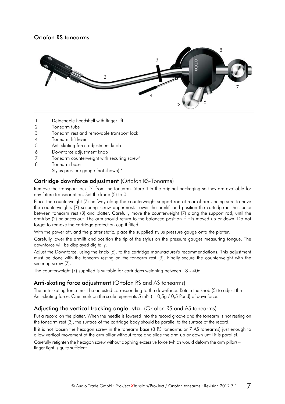#### Ortofon RS tonearms



- 1 Detachable headshell with finger lift
- 2 Tonearm tube
- 3 Tonearm rest and removable transport lock
- 4 Tonearm lift lever
- 5 Anti-skating force adjustment knob
- 6 Downforce adjustment knob
- 7 Tonearm counterweight with securing screw\*
- 8 Tonearm base

Stylus pressure gauge (not shown) \*

#### Cartridge downforce adjustment (Ortofon RS-Tonarme)

Remove the transport lock (3) from the tonearm. Store it in the original packaging so they are available for any future transportation. Set the knob (5) to 0.

Place the counterweight (7) halfway along the counterweight support rod at rear of arm, being sure to have the counterweights (7) securing screw uppermost. Lower the armlift and position the cartridge in the space between tonearm rest (3) and platter. Carefully move the counterweight (7) along the support rod, until the armtube (2) balances out. The arm should return to the balanced position if it is moved up or down. Do not forget to remove the cartridge protection cap if fitted.

With the power off, and the platter static, place the supplied stylus pressure gauge onto the platter.

Carefully lower the armlift and position the tip of the stylus on the pressure gauges measuring tongue. The downforce will be displayed digitally.

Adjust the Downforce, using the knob (6), to the cartridge manufacturer's recommendations. This adjustment must be done with the tonearm resting on the tonearm rest (3). Finally secure the counterweight with the securing screw (7).

The counterweight (7) supplied is suitable for cartridges weighing between 18 - 40g.

# Anti-skating force adjustment (Ortofon RS and AS tonearms)

The anti-skating force must be adjusted corresponding to the downforce. Rotate the knob (5) to adjust the Anti-skating force. One mark on the scale represents 5 mN (=  $0.5g / 0.5$  Pond) of downforce.

# Adjusting the vertical tracking angle -vta- (Ortofon RS and AS tonearms)

Put a record on the platter. When the needle is lowered into the record groove and the tonearm is not resting on the tonearm rest (3), the surface of the cartridge body should be parallel to the surface of the record.

If it is not loosen the hexagon screw in the tonearm base (8 RS tonearms or 7 AS tonearms) just enough to allow vertical movement of the arm pillar without force and slide the arm up or down until it is parallel.

Carefully retighten the hexagon screw without applying excessive force (which would deform the arm pillar) – finger tight is quite sufficient.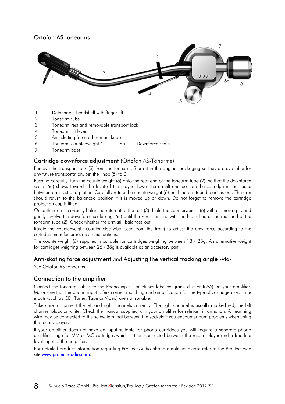# Ortofon AS tonearms



- 1 Detachable headshell with finger lift
- 2 Tonearm tube
- 3 Tonearm rest and removable transport lock
- 4 Tonearm lift lever
- 5 Anti-skating force adjustment knob
- 6 Tonearm counterweight \* 6a Downforce scale
- 7 Tonearm base

#### Cartridge downforce adjustment (Ortofon AS-Tonarme)

Remove the transport lock (3) from the tonearm. Store it in the original packaging so they are available for any future transportation. Set the knob (5) to 0.

Pushing carefully, turn the counterweight (6) onto the rear end of the tonearm tube (2), so that the downforce scale (6a) shows towards the front of the player. Lower the armlift and position the cartridge in the space between arm rest and platter. Carefully rotate the counterweight (6) until the armtube balances out. The arm should return to the balanced position if it is moved up or down. Do not forget to remove the cartridge protection cap if fitted.

Once the arm is correctly balanced return it to the rest (3). Hold the counterweight (6) without moving it, and gently revolve the downforce scale ring (6a) until the zero is in line with the black line at the rear end of the tonearm tube (2). Check whether the arm still balances out.

Rotate the counterweight counter clockwise (seen from the front) to adjust the downforce according to the cartridge manufacturer's recommendations.

The counterweight (6) supplied is suitable for cartridges weighing between 18 - 25g. An alternative weight for cartridges weighing between 26 - 38g is available as an accessory part.

#### Anti-skating force adjustment and Adjusting the vertical tracking angle -vta-

See Ortofon RS-tonearms

#### Connection to the amplifier

Connect the tonearm cables to the Phono input (sometimes labelled gram, disc or RIAA) on your amplifier. Make sure that the phono input offers correct matching and amplification for the type of cartridge used. Line inputs (such as CD, Tuner, Tape or Video) are not suitable.

Take care to connect the left and right channels correctly. The right channel is usually marked red, the left channel black or white. Check the manual supplied with your amplifier for relevant information. An earthing wire may be connected to the screw terminal between the sockets if you encounter hum problems when using the record player.

If your amplifier does not have an input suitable for phono cartridges you will require a separate phono amplifier stage for MM or MC cartridges which is then connected between the record player and a free line level input of the amplifier.

For detailed product information regarding Pro-Ject Audio phono amplifiers please refer to the Pro-Ject web site www.project-audio.com.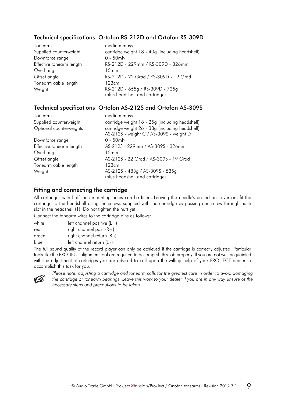# Technical specifications Ortofon RS-212D and Ortofon RS-309D

| Tonearm                  | medium mass                                     |
|--------------------------|-------------------------------------------------|
| Supplied counterweight   | cartridge weight 18 - 40g (including headshell) |
| Downforce range          | $0 - 50$ mN                                     |
| Effective tonearm length | RS-212D - 229mm / RS-309D - 326mm               |
| Overhang                 | 15mm                                            |
| Offset angle             | RS-212D - 22 Grad / RS-309D - 19 Grad           |
| Tonearm cable length     | 123cm                                           |
| Weight                   | RS-212D - 655g / RS-309D - 725g                 |
|                          | (plus headshell and cartridge)                  |

#### Technical specifications Ortofon AS-212S and Ortofon AS-309S

| Tonearm                  | medium mass                                                                                |
|--------------------------|--------------------------------------------------------------------------------------------|
| Supplied counterweight   | cartridge weight 18 - 25g (including headshell)                                            |
| Optional counterweights  | cartridge weight 26 - 38g (including headshell)<br>AS-212S - weight C / AS-309S - weight D |
| Downforce range          | $0 - 50$ mN                                                                                |
| Effective tonearm length | AS-212S - 229mm / AS-309S - 326mm                                                          |
| Overhang                 | 15mm                                                                                       |
| Offset angle             | AS-212S - 22 Grad / AS-309S - 19 Grad                                                      |
| Tonearm cable length     | 123cm                                                                                      |
| Weight                   | AS-212S - 483g / AS-309S - 535g<br>(plus headshell and cartridge)                          |

#### Fitting and connecting the cartridge

All cartridges with half inch mounting holes can be fitted. Leaving the needle's protection cover on, fit the cartridge to the headshell using the screws supplied with the cartridge by passing one screw through each slot in the headshell (1). Do not tighten the nuts yet.

Connect the tonearm wires to the cartridge pins as follows:

| white | left channel positive $(L+)$ |
|-------|------------------------------|
| red   | right channel pos. $(R+)$    |
| green | right channel return (R -)   |
| blue  | left channel return (L -)    |

The full sound quality of the record player can only be achieved if the cartridge is correctly adjusted. Particular tools like the PRO-JECT alignment tool are required to accomplish this job properly. If you are not well acquainted with the adjustment of cartridges you are advised to call upon the willing help of your PRO-JECT dealer to accomplish this task for you.



*Please note: adjusting a cartridge and tonearm calls for the greatest care in order to avoid damaging the cartridge or tonearm bearings. Leave this work to your dealer if you are in any way unsure of the necessary steps and precautions to be taken.*